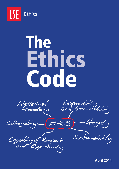

# The Ethics Code

Intellectual Responsibility<br>Freedom and Accountability

Collegiality  $-$  ETHICS) htegrity

Equality of Respect

Sustainability

**April 2014**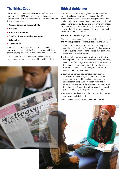## The Ethics Code

The whole LSE community, including all staff, students, and governors of LSE, are expected to act in accordance with the principles which are set out in this Code under the following headings:

- **Responsibility and Accountability**
- • **Integrity**
- • **Intellectual Freedom**
- **Equality of Respect and Opportunity**
- **Collegiality**
- **Sustainability.**

Council, Academic Board, their subsidiary committees, and the management of the School are responsible for the promotion, implementation, and application of the Code.

The principles set out in this Code should be taken into account when making decisions at all levels of the School.

# Ethical Guidelines

It is impossible to devise a single set of rules to resolve every ethical dilemma which members of the LSE community may face. Instead, the principles in the Ethics Code should guide the exercise of judgement in individual cases. The following guidelines provide further information on how each principle should apply in practice, and lists some of the policies and procedures by which individual issues are presently addressed.

## **Decision making step-by-step**

Three simple steps should be followed to identify and resolve the ethical implications of individual decisions and actions:

- **1** Consider whether what you plan to do is compatible with the principles in the Ethics Code. Further guidance is often available from existing policies, several of which are listed in the following text.
- **2** Ask yourself how you would explain your actions if you had to justify them to close friends and family, or if they were on the front page of a newspaper. What would be the impact on your reputation, or that of the School? How would you feel about asking someone else to do what you are proposing to do?
- **3** Seek advice from an appropriate person, such as a colleague or line manager, or one of the School committees tasked with handling ethical matters. Specific committees handle research ethics and the ethics of receiving external grants and donations, while the Ethics Policy Committee will consider dilemmas of particular difficulty where principles may conflict.
- **4** Where possible, keep a record of your decision making and the rationale behind it.

For general queries please email **ethics@lse.ac.uk** 

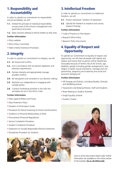## 1. Responsibility and Accountability

In order to uphold our commitment to responsibility and accountability, we will:

- **1.1.** Embed the principle of individual responsibility at every level of the School's management and governance structures.
- **1.2.** Raise concerns relating to ethical matters as they arise.

## **Further Information**

- [Ethics website](http://www.lse.ac.uk/ethics)
- [Ethics Policy Committee](http://www.lse.ac.uk/ethicspolicycommittee)
- [Public Interest Disclosure Procedure.](http://www2.lse.ac.uk/intranet/staff/schoolRegulations/LSEPublicInterestDisclosureProcedure.aspx)

## 2. Integrity

In order to uphold our commitment to integrity, we will:

- **2.1.** Be honest and truthful.
- **2.2.** Act in accordance with all relevant legislation and statutory requirements.
- **2.3.** Declare interests and appropriately manage possible conflicts.
- **2.4.** Be transparent and consistent in our decision making.
- **2.5.** Maintain our independence in engaging with outside parties.
- **2.6.** Conduct fundraising activities in line with the principles set out in the Ethics Code.

### **Further Information**

- [Policy against Bribery and Fraud](http://www.lse.ac.uk/intranet/LSEServices/policies/pdfs/school/fraPol.pdf)
- [Data Protection Policy](http://www2.lse.ac.uk/aboutLSE/dataProtection/Home.aspx)
- [Freedom of Information Guide](http://www.lse.ac.uk/intranet/LSEServices/legalAndCompliance/FOI/Home.aspx)
- [Procedure for Ethical Screening of Grants and Donations](http://www.lse.ac.uk/intranet/LSEServices/policies/pdfs/school/proEthScr.pdf)
- [Guidance on Personal Relationships at Work](http://www2.lse.ac.uk/intranet/staff/humanResources/changingCircumstancesMovingOn/relationshipsAtWork.aspx)
- [Procurement \(Financial Regulations\)](https://www2.lse.ac.uk/intranet/LSEServices/financeDivision/internal/staff/pdf/financialregulations.pdf)
- [Service Complaints Procedure](http://www2.lse.ac.uk/intranet/staff/schoolRegulations/serviceComplaints.aspx)
- [Student Complaints Procedure](http://www2.lse.ac.uk/intranet/staff/schoolRegulations/principlesAndProceduresForTheConsiderationOfStudentComplaints.aspx)
- [Statement on Socially Responsible \(Ethical\) Investment](http://www.lse.ac.uk/intranet/LSEServices/policies/pdfs/school/socResInvPol.pdf)
- [Disciplinary Procedure for Students.](http://www2.lse.ac.uk/intranet/staff/schoolRegulations/disciplinaryRegulationsForStudents.aspx)

# 3. Intellectual Freedom

In order to uphold our commitment to intellectual freedom, we will:

- **3.1.** Protect individuals' freedom of expression.
- **3.2.** Uphold the freedom to research and convey research findings.

#### **Further Information**

- [Code of Practice on Free Speech](http://www2.lse.ac.uk/intranet/staff/schoolRegulations/codeOfPracticeOnFreeSpeech.aspx)
- [Research Ethics Policy](http://www.lse.ac.uk/intranet/LSEServices/policies/pdfs/school/resEthPolPro.pdf)
- [Research Policy Documents.](http://www2.lse.ac.uk/intranet/researchAndDevelopment/researchPolicy/researchPolicydocuments/home.aspx)

## 4. Equality of Respect and **Opportunity**

To uphold our commitment to equality of respect and opportunity, we will treat all people with dignity and respect and ensure that no person will be treated less favourably because of her/his role at the School, age, disability, gender (including gender reassignment), race, religion or belief, sexual orientation, marriage and civil partnership, pregnancy and maternity and social and economic background.

#### **Further Information**

- [HR Strategy and Policies, including Equality, Diversity](http://www.lse.ac.uk/intranet/staff/humanResources/aToZOfDocumentsAndInformation.aspx)  and Wellbeing policies
- [Harassment and Bullying Policies: Staff and Students](http://www2.lse.ac.uk/intranet/staff/schoolRegulations/harassmentPolicy.aspx)
- [Rules Relating to Student Activities](http://www2.lse.ac.uk/intranet/staff/schoolRegulations/rulesRelatingToStudentActivities.aspx)
- [Single Equality Scheme](http://www2.lse.ac.uk/intranet/staff/equalityAndDiversity/docs/schemeNarrative1.pdf)
- [Student Charter](http://www2.lse.ac.uk/intranet/LSEServices/policies/pdfs/school/stuCha.pdf)



Links to all the documents listed under further information are available on the online version of this booklet: **[lse.ac.uk/ethicscode](http://www.lse.ac.uk/ethicscode)**